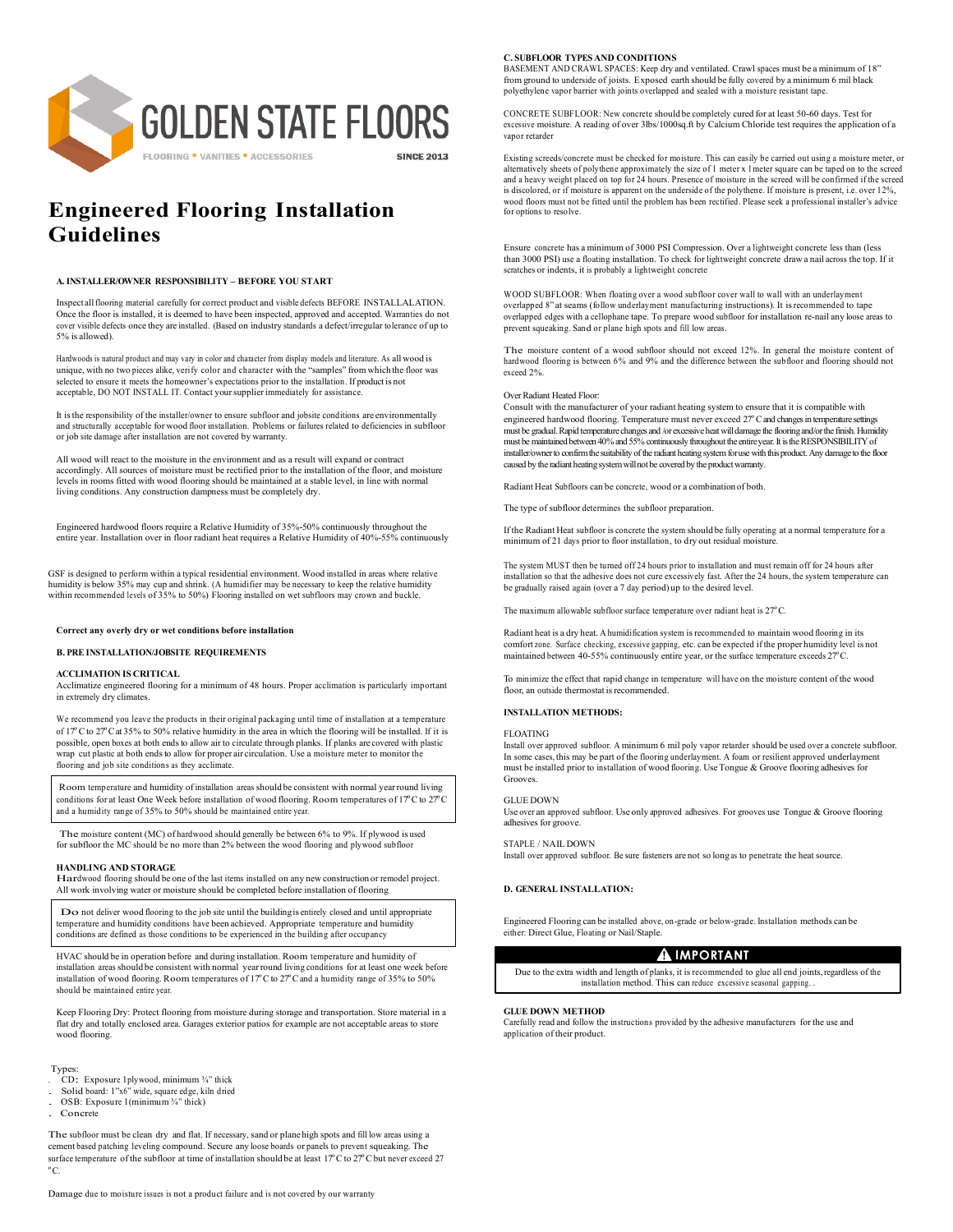

# **Engineered Flooring Installation Guidelines**

#### **A. INSTALLER/OWNER RESPONSIBILITY – BEFORE YOU START**

Inspect allflooring material carefully for correct product and visible defects BEFORE INSTALLALATION. Once the floor is installed, it is deemed to have been inspected, approved and accepted. Warranties do not cover visible defects once they are installed. (Based on industry standards a defect/irregular tolerance of up to 5% is allowed).

Hardwoods is natural product and may vary in color and character from display models and literature. As all wood is unique, with no two pieces alike, verify color and character with the "samples" from which the floor was selected to ensure it meets the homeowner's expectations prior to the installation. If product is not acceptable, DO NOT INSTALL IT. Contact your supplier immediately for assistance

It isthe responsibility of the installer/owner to ensure subfloor and jobsite conditions are environmentally and structurally acceptable for wood floor installation. Problems or failures related to deficiencies in subfloor or job site damage after installation are not covered by warranty.

All wood will react to the moisture in the environment and as a result will expand or contract accordingly. All sources of moisture must be rectified prior to the installation of the floor, and moisture levels in rooms fitted with wood flooring should be maintained at a stable level, in line with normal living conditions. Any construction dampness must be completely dry.

Engineered hardwood floors require a Relative Humidity of 35%-50% continuously throughout the entire year. Installation over in floor radiant heat requires a Relative Humidity of 40%-55% continuously

GSF is designed to perform within a typical residential environment. Wood installed in areas where relative humidity is below 35% may cup and shrink. (A humidifier may be necessary to keep the relative humidity within recommended levels of 35% to 50%) Flooring installed on wet subfloors may crown and buckle.

#### **Correct any overly dry or wet conditions before installation**

#### **B. PRE INSTALLATION/JOBSITE REQUIREMENTS**

#### **ACCLIMATION IS CRITICAL**

Acclimatize engineered flooring for a minimum of 48 hours. Proper acclimation is particularly important in extremely dry climates

We recommend you leave the products in their original packaging until time of installation at a temperature of 17ºC to 27ºCat 35% to 50% relative humidity in the area in which the flooring will be installed. If it is possible, open boxes at both ends to allow air to circulate through planks. If planks are covered with plastic wrap cut plastic at both endsto allow for proper air circulation. Use a moisture meter to monitor the flooring and job site conditions as they acclimate.

Room temperature and humidity of installation areas should be consistent with normal yearround living conditions for at least One Week before installation of wood flooring. Room temperatures of 17ºC to 27ºC and a humidity range of 35% to 50% should be maintained entire year.

The moisture content (MC) of hardwood should generally be between 6% to 9%. If plywood is used for subfloor the MC should be no more than 2% between the wood flooring and plywood subfloor

## **HANDLING AND STORAGE**

Hardwood flooring should be one of the last items installed on any new construction or remodel project. All work involving water or moisture should be completed before installation of flooring

Do not deliver wood flooring to the job site until the building is entirely closed and until appropriate temperature and humidity conditions have been achieved. Appropriate temperature and humi conditions are defined as those conditions to be experienced in the building after occupancy

HVAC should be in operation before and during installation. Room temperature and humidity of installation areas should be consistent with normal yearround living conditions for at least one week before installation of wood flooring. Room temperatures of 17ºC to 27ºCand a humidity range of 35% to 50% should be maintained entire year.

Keep Flooring Dry: Protect flooring from moisture during storage and transportation. Store material in a flat dry and totally enclosed area. Garages exterior patios for example are not acceptable areas to store wood flooring.

#### Types:

- . CD: Exposure 1plywood, minimum ¾" thick
- . Solid board: 1"x6" wide, square edge, kiln dried
- . OSB: Exposure 1(minimum ¾" thick) Concrete
- 

The subfloor must be clean dry and flat. If necessary, sand or planehigh spots and fill low areas using a cement based patching leveling compound. Secure any loose boards or panels to prevent squeaking. The surface temperature of the subfloor at time of installation should be at least 17°C to 27°C but never exceed 27 ºC.

#### **C. SUBFLOOR TYPES AND CONDITIONS**

BASEMENT AND CRAWL SPACES: Keep dry and ventilated. Crawl spaces must be a minimum of 18" from ground to underside of joists. Exposed earth should be fully covered by a minimum 6 mil black polyethylene vapor barrier with joints overlapped and sealed with a moisture resistant tape

CONCRETE SUBFLOOR: New concrete should be completely cured for at least 50-60 days. Test for excessive moisture. A reading of over 3lbs/1000sq.ft by Calcium Chloride test requires the application of a vapor retarder

Existing screeds/concrete must be checked for moisture. This can easily be carried out using a moisture meter, or alternatively sheets of polythene approximately the size of 1 meter x 1meter square can be taped on to the screed and a heavy weight placed on top for 24 hours. Presence of moisture in the screed will be confirmed if the screed is discolored, or if moisture is apparent on the underside of the polythene. If moisture is present, i.e. over 12%,<br>wood floors must not be fitted until the problem has been rectified. Please seek a professional installer' for options to resolve.

Ensure concrete has a minimum of 3000 PSI Compression. Over a lightweight concrete less than (less than 3000 PSI) use a floating installation. To check for lightweight concrete draw a nail across the top. If it scratches or indents, it is probably a lightweight concrete

WOOD SUBFLOOR: When floating over a wood subfloor cover wall to wall with an underlayment overlapped 8" at seams (follow underlayment manufacturing instructions). It isrecommended to tape overlapped edges with a cellophane tape. To prepare wood subfloor for installation re-nail any loose areas to prevent squeaking. Sand or plane high spots and fill low areas.

The moisture content of a wood subfloor should not exceed 12%. In general the moisture content of hardwood flooring is between 6% and 9% and the difference between the subfloor and flooring should not exceed 2%.

#### Over Radiant Heated Floor:

Consult with the manufacturer of your radiant heating system to ensure that it is compatible with engineered hardwood flooring. Temperature must never exceed 27°C and changes in temperature settings must be gradual. Rapid temperature changes and /or excessive heat will damage the flooring and/or the finish. Humidity must be maintained between 40% and 55% continuously throughout the entire year. It is the RESPONSIBILITY of installer/owner to confirm the suitability of the radiant heating system for use with this product. Any damage to the floor caused by the radiant heating system will not be covered by the product warranty.

Radiant Heat Subfloors can be concrete, wood or a combination of both.

The type of subfloor determines the subfloor preparation.

If the Radiant Heat subfloor is concrete the system should be fully operating at a normal temperature for a minimum of 21 days prior to floor installation, to dry out residual moisture.

The system MUST then be turned off 24 hours prior to installation and must remain off for 24 hours after installation so that the adhesive does not cure excessively fast. After the 24 hours, the system temperature can be gradually raised again (over a 7 day period) up to the desired level.

The maximum allowable subfloor surface temperature over radiant heat is 27ºC.

Radiant heat is a dry heat. A humidification system is recommended to maintain wood flooring in its comfort zone. Surface checking, excessive gapping, etc. can be expected ifthe proper humidity level is not maintained between 40-55% continuously entire year, or the surface temperature exceeds 27ºC.

To minimize the effect that rapid change in temperature will have on the moisture content of the wood floor, an outside thermostat is recommended.

#### **INSTALLATION METHODS:**

**FLOATING** 

Install over approved subfloor. A minimum 6 mil poly vapor retarder should be used over a concrete subfloor. In some cases, this may be part of the flooring underlayment. A foam or resilient approved underlayment must be installed prior to installation of wood flooring. Use Tongue & Groove flooring adhesives for Grooves.

#### GLUE DOWN

Use over an approved subfloor. Use only approved adhesives. For grooves use Tongue & Groove flooring adhesives for groove.

#### STAPLE / NAIL DOWN

Install over approved subfloor. Be sure fasteners are not so long as to penetrate the heat source.

#### **D. GENERAL INSTALLATION:**

Engineered Flooring can be installed above, on-grade or below-grade. Installation methods can be either: Direct Glue, Floating or Nail/Staple.

# A IMPORTANT

Due to the extra width and length of planks, it is recommended to glue all end joints, regardless of the installation method. This can reduce excessive seasonal gapping.

### **GLUE DOWN METHOD**

Carefully read and follow the instructions provided by the adhesive manufacturers for the use and application of their product.